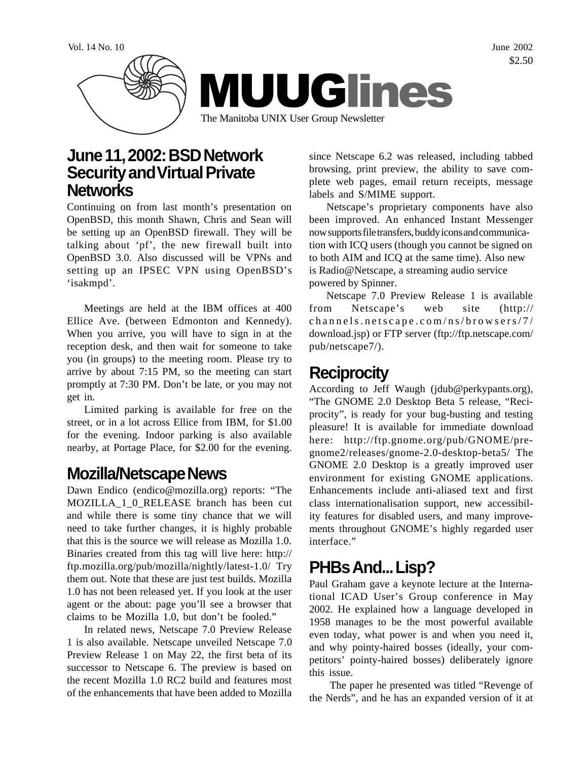

#### **June 11, 2002: BSD Network Security and Virtual Private Networks**

Continuing on from last month's presentation on OpenBSD, this month Shawn, Chris and Sean will be setting up an OpenBSD firewall. They will be talking about 'pf', the new firewall built into OpenBSD 3.0. Also discussed will be VPNs and setting up an IPSEC VPN using OpenBSD's 'isakmpd'.

Meetings are held at the IBM offices at 400 Ellice Ave. (between Edmonton and Kennedy). When you arrive, you will have to sign in at the reception desk, and then wait for someone to take you (in groups) to the meeting room. Please try to arrive by about 7:15 PM, so the meeting can start promptly at 7:30 PM. Don't be late, or you may not get in.

Limited parking is available for free on the street, or in a lot across Ellice from IBM, for \$1.00 for the evening. Indoor parking is also available nearby, at Portage Place, for \$2.00 for the evening.

## **Mozilla/Netscape News**

Dawn Endico (endico@mozilla.org) reports: "The MOZILLA\_1\_0\_RELEASE branch has been cut and while there is some tiny chance that we will need to take further changes, it is highly probable that this is the source we will release as Mozilla 1.0. Binaries created from this tag will live here: http:// ftp.mozilla.org/pub/mozilla/nightly/latest-1.0/ Try them out. Note that these are just test builds. Mozilla 1.0 has not been released yet. If you look at the user agent or the about: page you'll see a browser that claims to be Mozilla 1.0, but don't be fooled."

In related news, Netscape 7.0 Preview Release 1 is also available. Netscape unveiled Netscape 7.0 Preview Release 1 on May 22, the first beta of its successor to Netscape 6. The preview is based on the recent Mozilla 1.0 RC2 build and features most of the enhancements that have been added to Mozilla

since Netscape 6.2 was released, including tabbed browsing, print preview, the ability to save complete web pages, email return receipts, message labels and S/MIME support.

Netscape's proprietary components have also been improved. An enhanced Instant Messenger now supports file transfers, buddy icons and communication with ICQ users (though you cannot be signed on to both AIM and ICQ at the same time). Also new is Radio@Netscape, a streaming audio service powered by Spinner.

Netscape 7.0 Preview Release 1 is available from Netscape's web site (http:// channels.netscape.com/ns/browsers/7/ download.jsp) or FTP server (ftp://ftp.netscape.com/ pub/netscape7/).

# **Reciprocity**

According to Jeff Waugh (jdub@perkypants.org), "The GNOME 2.0 Desktop Beta 5 release, "Reciprocity", is ready for your bug-busting and testing pleasure! It is available for immediate download here: http://ftp.gnome.org/pub/GNOME/pregnome2/releases/gnome-2.0-desktop-beta5/ The GNOME 2.0 Desktop is a greatly improved user environment for existing GNOME applications. Enhancements include anti-aliased text and first class internationalisation support, new accessibility features for disabled users, and many improvements throughout GNOME's highly regarded user interface."

# **PHBs And... Lisp?**

Paul Graham gave a keynote lecture at the International ICAD User's Group conference in May 2002. He explained how a language developed in 1958 manages to be the most powerful available even today, what power is and when you need it, and why pointy-haired bosses (ideally, your competitors' pointy-haired bosses) deliberately ignore this issue.

 The paper he presented was titled "Revenge of the Nerds", and he has an expanded version of it at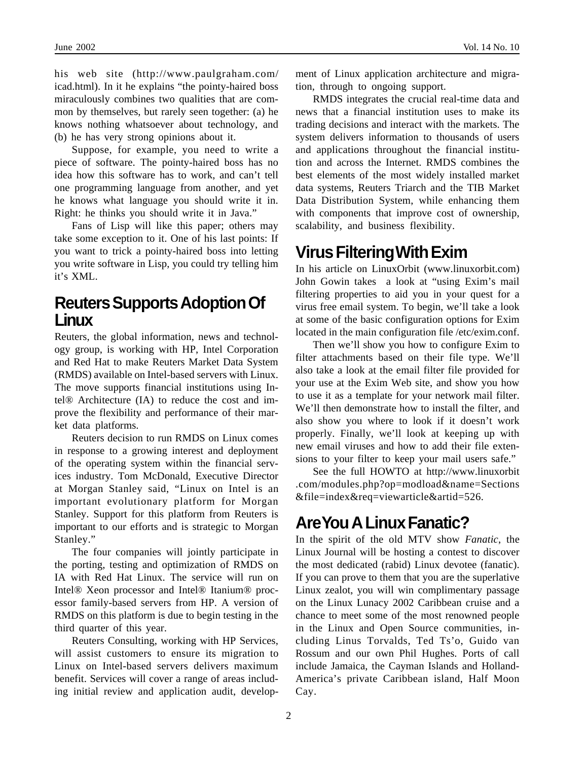his web site (http://www.paulgraham.com/ icad.html). In it he explains "the pointy-haired boss miraculously combines two qualities that are common by themselves, but rarely seen together: (a) he knows nothing whatsoever about technology, and (b) he has very strong opinions about it.

Suppose, for example, you need to write a piece of software. The pointy-haired boss has no idea how this software has to work, and can't tell one programming language from another, and yet he knows what language you should write it in. Right: he thinks you should write it in Java."

Fans of Lisp will like this paper; others may take some exception to it. One of his last points: If you want to trick a pointy-haired boss into letting you write software in Lisp, you could try telling him it's XML.

#### **Reuters Supports Adoption Of Linux**

Reuters, the global information, news and technology group, is working with HP, Intel Corporation and Red Hat to make Reuters Market Data System (RMDS) available on Intel-based servers with Linux. The move supports financial institutions using Intel® Architecture (IA) to reduce the cost and improve the flexibility and performance of their market data platforms.

Reuters decision to run RMDS on Linux comes in response to a growing interest and deployment of the operating system within the financial services industry. Tom McDonald, Executive Director at Morgan Stanley said, "Linux on Intel is an important evolutionary platform for Morgan Stanley. Support for this platform from Reuters is important to our efforts and is strategic to Morgan Stanley."

The four companies will jointly participate in the porting, testing and optimization of RMDS on IA with Red Hat Linux. The service will run on Intel® Xeon processor and Intel® Itanium® processor family-based servers from HP. A version of RMDS on this platform is due to begin testing in the third quarter of this year.

Reuters Consulting, working with HP Services, will assist customers to ensure its migration to Linux on Intel-based servers delivers maximum benefit. Services will cover a range of areas including initial review and application audit, development of Linux application architecture and migration, through to ongoing support.

RMDS integrates the crucial real-time data and news that a financial institution uses to make its trading decisions and interact with the markets. The system delivers information to thousands of users and applications throughout the financial institution and across the Internet. RMDS combines the best elements of the most widely installed market data systems, Reuters Triarch and the TIB Market Data Distribution System, while enhancing them with components that improve cost of ownership, scalability, and business flexibility.

## **Virus Filtering With Exim**

In his article on LinuxOrbit (www.linuxorbit.com) John Gowin takes a look at "using Exim's mail filtering properties to aid you in your quest for a virus free email system. To begin, we'll take a look at some of the basic configuration options for Exim located in the main configuration file /etc/exim.conf.

Then we'll show you how to configure Exim to filter attachments based on their file type. We'll also take a look at the email filter file provided for your use at the Exim Web site, and show you how to use it as a template for your network mail filter. We'll then demonstrate how to install the filter, and also show you where to look if it doesn't work properly. Finally, we'll look at keeping up with new email viruses and how to add their file extensions to your filter to keep your mail users safe."

See the full HOWTO at http://www.linuxorbit .com/modules.php?op=modload&name=Sections &file=index&req=viewarticle&artid=526.

# **Are You A Linux Fanatic?**

In the spirit of the old MTV show *Fanatic*, the Linux Journal will be hosting a contest to discover the most dedicated (rabid) Linux devotee (fanatic). If you can prove to them that you are the superlative Linux zealot, you will win complimentary passage on the Linux Lunacy 2002 Caribbean cruise and a chance to meet some of the most renowned people in the Linux and Open Source communities, including Linus Torvalds, Ted Ts'o, Guido van Rossum and our own Phil Hughes. Ports of call include Jamaica, the Cayman Islands and Holland-America's private Caribbean island, Half Moon Cay.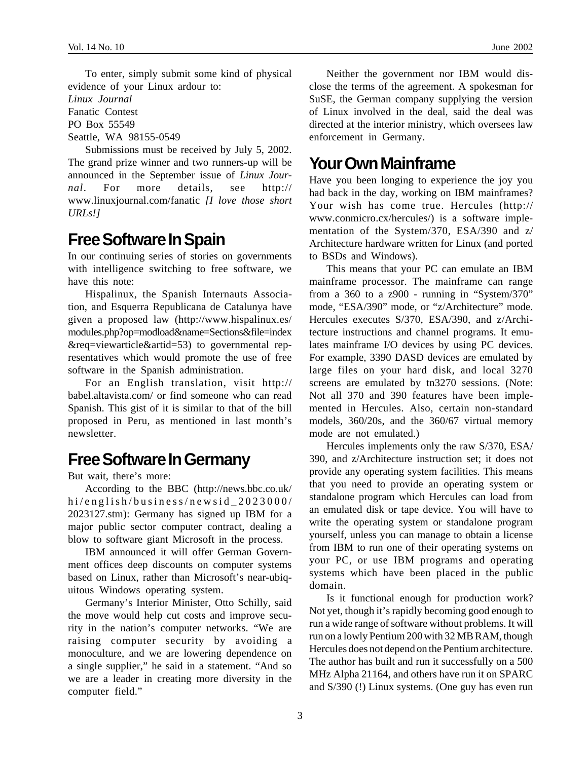To enter, simply submit some kind of physical evidence of your Linux ardour to:

*Linux Journal*

Fanatic Contest

PO Box 55549

Seattle, WA 98155-0549

Submissions must be received by July 5, 2002. The grand prize winner and two runners-up will be announced in the September issue of *Linux Journal*. For more details, see http:// www.linuxjournal.com/fanatic *[I love those short URLs!]*

#### **Free Software In Spain**

In our continuing series of stories on governments with intelligence switching to free software, we have this note:

Hispalinux, the Spanish Internauts Association, and Esquerra Republicana de Catalunya have given a proposed law (http://www.hispalinux.es/ modules.php?op=modload&name=Sections&file=index &req=viewarticle&artid=53) to governmental representatives which would promote the use of free software in the Spanish administration.

For an English translation, visit http:// babel.altavista.com/ or find someone who can read Spanish. This gist of it is similar to that of the bill proposed in Peru, as mentioned in last month's newsletter.

## **Free Software In Germany**

But wait, there's more:

According to the BBC (http://news.bbc.co.uk/ hi/english/business/newsid\_2023000/ 2023127.stm): Germany has signed up IBM for a major public sector computer contract, dealing a blow to software giant Microsoft in the process.

IBM announced it will offer German Government offices deep discounts on computer systems based on Linux, rather than Microsoft's near-ubiquitous Windows operating system.

Germany's Interior Minister, Otto Schilly, said the move would help cut costs and improve security in the nation's computer networks. "We are raising computer security by avoiding a monoculture, and we are lowering dependence on a single supplier," he said in a statement. "And so we are a leader in creating more diversity in the computer field."

Neither the government nor IBM would disclose the terms of the agreement. A spokesman for SuSE, the German company supplying the version of Linux involved in the deal, said the deal was directed at the interior ministry, which oversees law enforcement in Germany.

### **Your Own Mainframe**

Have you been longing to experience the joy you had back in the day, working on IBM mainframes? Your wish has come true. Hercules (http:// www.conmicro.cx/hercules/) is a software implementation of the System/370, ESA/390 and z/ Architecture hardware written for Linux (and ported to BSDs and Windows).

This means that your PC can emulate an IBM mainframe processor. The mainframe can range from a 360 to a z900 - running in "System/370" mode, "ESA/390" mode, or "z/Architecture" mode. Hercules executes S/370, ESA/390, and z/Architecture instructions and channel programs. It emulates mainframe I/O devices by using PC devices. For example, 3390 DASD devices are emulated by large files on your hard disk, and local 3270 screens are emulated by tn3270 sessions. (Note: Not all 370 and 390 features have been implemented in Hercules. Also, certain non-standard models, 360/20s, and the 360/67 virtual memory mode are not emulated.)

Hercules implements only the raw S/370, ESA/ 390, and z/Architecture instruction set; it does not provide any operating system facilities. This means that you need to provide an operating system or standalone program which Hercules can load from an emulated disk or tape device. You will have to write the operating system or standalone program yourself, unless you can manage to obtain a license from IBM to run one of their operating systems on your PC, or use IBM programs and operating systems which have been placed in the public domain.

Is it functional enough for production work? Not yet, though it's rapidly becoming good enough to run a wide range of software without problems. It will run on a lowly Pentium 200 with 32 MB RAM, though Hercules does not depend on the Pentium architecture. The author has built and run it successfully on a 500 MHz Alpha 21164, and others have run it on SPARC and S/390 (!) Linux systems. (One guy has even run